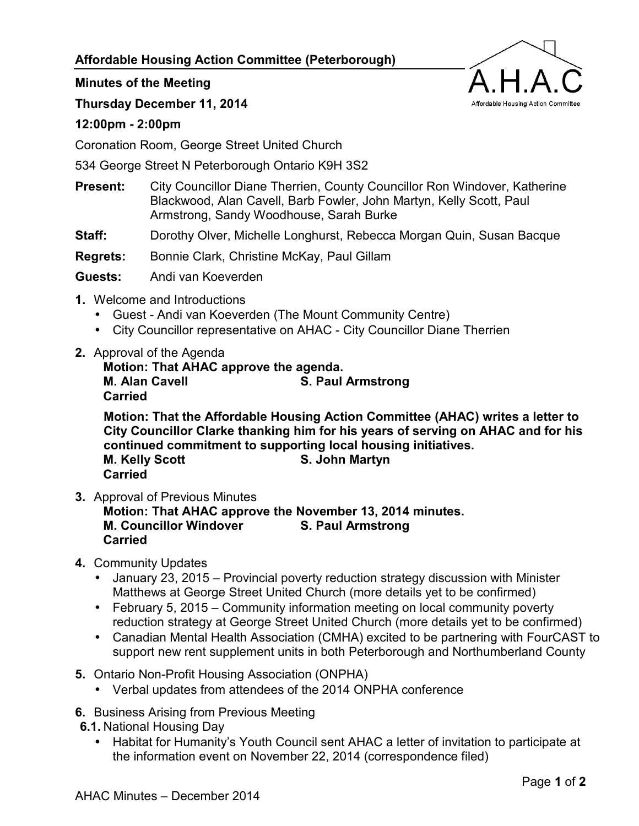## **Affordable Housing Action Committee (Peterborough)**



## **Minutes of the Meeting**

**Thursday December 11, 2014** 

## **12:00pm - 2:00pm**

Coronation Room, George Street United Church

534 George Street N Peterborough Ontario K9H 3S2

- **Present:** City Councillor Diane Therrien, County Councillor Ron Windover, Katherine Blackwood, Alan Cavell, Barb Fowler, John Martyn, Kelly Scott, Paul Armstrong, Sandy Woodhouse, Sarah Burke
- **Staff:** Dorothy Olver, Michelle Longhurst, Rebecca Morgan Quin, Susan Bacque

**Regrets:** Bonnie Clark, Christine McKay, Paul Gillam

**Guests:** Andi van Koeverden

- **1.** Welcome and Introductions
	- Guest Andi van Koeverden (The Mount Community Centre)
	- City Councillor representative on AHAC City Councillor Diane Therrien
- **2.** Approval of the Agenda

**Motion: That AHAC approve the agenda. M. Alan Cavell S. Paul Armstrong Cavell Carried** 

**Motion: That the Affordable Housing Action Committee (AHAC) writes a letter to City Councillor Clarke thanking him for his years of serving on AHAC and for his continued commitment to supporting local housing initiatives. M. Kelly Scott** S. John Martyn **Carried** 

**3.** Approval of Previous Minutes

**Motion: That AHAC approve the November 13, 2014 minutes. M. Councillor Windover S. Paul Armstrong Carried** 

- **4.** Community Updates
	- January 23, 2015 Provincial poverty reduction strategy discussion with Minister Matthews at George Street United Church (more details yet to be confirmed)
	- February 5, 2015 Community information meeting on local community poverty reduction strategy at George Street United Church (more details yet to be confirmed)
	- Canadian Mental Health Association (CMHA) excited to be partnering with FourCAST to support new rent supplement units in both Peterborough and Northumberland County
- **5.** Ontario Non-Profit Housing Association (ONPHA)
	- Verbal updates from attendees of the 2014 ONPHA conference
- **6.** Business Arising from Previous Meeting
- **6.1.** National Housing Day
	- Habitat for Humanity's Youth Council sent AHAC a letter of invitation to participate at the information event on November 22, 2014 (correspondence filed)